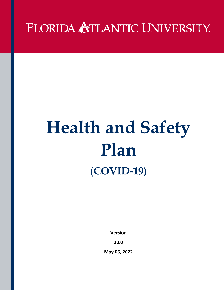## FLORIDA ATLANTIC UNIVERSITY.

# **Health and Safety Plan (COVID-19)**

**Version** 

**10.0**

**May 06, 2022**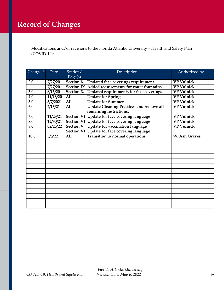Modifications and/or revisions to the Florida Atlantic University – Health and Safety Plan woundations and/ of Tevisities

| Change # | Date     | Section/          | Description                                       | Authorized by     |
|----------|----------|-------------------|---------------------------------------------------|-------------------|
|          |          | Page(s)           |                                                   |                   |
| 2.0      | 7/27/20  |                   | Section X.   Updated face coverings requirement   | <b>VP Volnick</b> |
|          | 7/27/20  |                   | Section IX Added requirements for water fountains | <b>VP Volnick</b> |
| 3.0      | 8/13/20  | Section X.        | Updated requirements for face coverings           | <b>VP Volnick</b> |
| 4.0      | 11/18/20 | All               | <b>Update for Spring</b>                          | <b>VP Volnick</b> |
| 5.0      | 5/7/2021 | All               | <b>Update for Summer</b>                          | <b>VP Volnick</b> |
| 6.0      | 7/13/21  | All               | <b>Update Cleaning Practices and remove all</b>   | <b>VP Volnick</b> |
|          |          |                   | remaining restrictions.                           |                   |
| 7.0      | 11/23/21 | <b>Section VI</b> | Update for face covering language                 | <b>VP Volnick</b> |
| 8.0      | 12/30/21 |                   | Section VI Update for face covering language      | <b>VP Volnick</b> |
| 9.0      | 02/25/22 |                   | Section V   Update for vaccination language       | <b>VP Volnick</b> |
|          |          |                   | Section VI Update for face covering language      |                   |
| 10.0     | 5/6/22   | A11               | Transition to normal operations                   | W. Ash Graves     |
|          |          |                   |                                                   |                   |
|          |          |                   |                                                   |                   |
|          |          |                   |                                                   |                   |
|          |          |                   |                                                   |                   |
|          |          |                   |                                                   |                   |
|          |          |                   |                                                   |                   |
|          |          |                   |                                                   |                   |
|          |          |                   |                                                   |                   |
|          |          |                   |                                                   |                   |
|          |          |                   |                                                   |                   |
|          |          |                   |                                                   |                   |
|          |          |                   |                                                   |                   |
|          |          |                   |                                                   |                   |
|          |          |                   |                                                   |                   |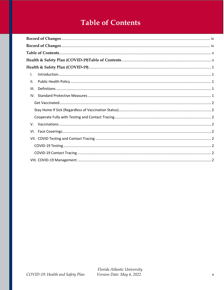## **Table of Contents**

| $\mathsf{L}$ |  |
|--------------|--|
| II.          |  |
| III.         |  |
|              |  |
|              |  |
|              |  |
|              |  |
| V.           |  |
|              |  |
|              |  |
|              |  |
|              |  |
|              |  |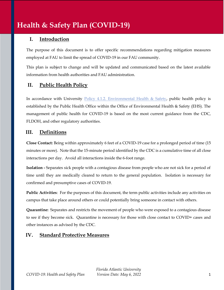### **Health & Safety Plan (COVID-19)**

#### <span id="page-3-0"></span>**I. Introduction**

The purpose of this document is to offer specific recommendations regarding mitigation measures employed at FAU to limit the spread of COVID-19 in our FAU community.

This plan is subject to change and will be updated and communicated based on the latest available information from health authorities and FAU administration.

#### <span id="page-3-1"></span>**II. Public Health Policy**

In accordance with University Policy 4.1.2. Environmental Health  $\&$  Safety, public health policy is established by the Public Health Office within the Office of Environmental Health & Safety (EHS). The management of public health for COVID-19 is based on the most current guidance from the CDC, FLDOH, and other regulatory authorities.

#### <span id="page-3-2"></span>**III. Definitions**

**Close Contact:** Being within approximately 6 feet of a COVID-19 case for a prolonged period of time (15 minutes or more). Note that the 15-minute period identified by the CDC is a cumulative time of all close interactions per day. Avoid all interactions inside the 6-foot range.

**Isolation -** Separates sick people with a contagious disease from people who are not sick for a period of time until they are medically cleared to return to the general population. Isolation is necessary for confirmed and presumptive cases of COVID-19.

**Public Activities**: For the purposes of this document, the term public activities include any activities on campus that take place around others or could potentially bring someone in contact with others.

**Quarantine:** Separates and restricts the movement of people who were exposed to a contagious disease to see if they become sick. Quarantine is necessary for those with close contact to COVID+ cases and other instances as advised by the CDC.

#### <span id="page-3-3"></span>**IV. Standard Protective Measures**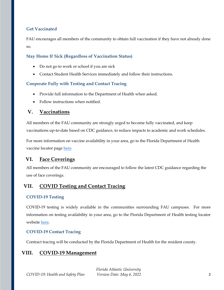#### <span id="page-4-0"></span>**Get Vaccinated**

FAU encourages all members of the community to obtain full vaccination if they have not already done so.

#### <span id="page-4-1"></span>**Stay Home If Sick (Regardless of Vaccination Status)**

- Do not go to work or school if you are sick
- Contact Student Health Services immediately and follow their instructions.

#### <span id="page-4-2"></span>**Cooperate Fully with Testing and Contact Tracing**

- Provide full information to the Department of Health when asked.
- Follow instructions when notified.

#### <span id="page-4-3"></span>**V. Vaccinations**

All members of the FAU community are strongly urged to become fully vaccinated, and keep vaccinations up-to-date based on CDC guidance, to reduce impacts to academic and work schedules.

For more information on vaccine availability in your area, go to the Florida Department of Health vaccine locator page [here.](https://floridahealthcovid19.gov/vaccines/vaccine-locator/)

#### <span id="page-4-4"></span>**VI. Face Coverings**

All members of the FAU community are encouraged to follow the latest CDC guidance regarding the use of face coverings.

#### <span id="page-4-5"></span>**VII. COVID Testing and Contact Tracing**

#### <span id="page-4-6"></span>**COVID-19 Testing**

COVID-19 testing is widely available in the communities surrounding FAU campuses. For more information on testing availability in your area, go to the Florida Department of Health testing locator website [here.](https://floridahealthcovid19.gov/testing-sites/)

#### <span id="page-4-7"></span>**COVID-19 Contact Tracing**

Contract tracing will be conducted by the Florida Department of Health for the resident county.

#### <span id="page-4-8"></span>**VIII. COVID-19 Management**

*Florida Atlantic University COVID-19: Health and Safety Plan Version Date: May 6, 2022* 2